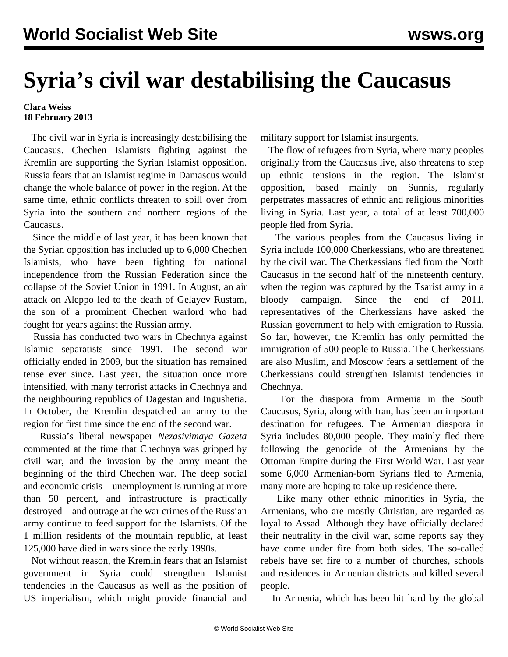## **Syria's civil war destabilising the Caucasus**

**Clara Weiss 18 February 2013**

 The civil war in Syria is increasingly destabilising the Caucasus. Chechen Islamists fighting against the Kremlin are supporting the Syrian Islamist opposition. Russia fears that an Islamist regime in Damascus would change the whole balance of power in the region. At the same time, ethnic conflicts threaten to spill over from Syria into the southern and northern regions of the Caucasus.

 Since the middle of last year, it has been known that the Syrian opposition has included up to 6,000 Chechen Islamists, who have been fighting for national independence from the Russian Federation since the collapse of the Soviet Union in 1991. In August, an air attack on Aleppo led to the death of Gelayev Rustam, the son of a prominent Chechen warlord who had fought for years against the Russian army.

 Russia has conducted two wars in Chechnya against Islamic separatists since 1991. The second war officially ended in 2009, but the situation has remained tense ever since. Last year, the situation once more intensified, with many terrorist attacks in Chechnya and the neighbouring republics of Dagestan and Ingushetia. In October, the Kremlin despatched an army to the region for first time since the end of the second war.

 Russia's liberal newspaper *Nezasivimaya Gazeta* commented at the time that Chechnya was gripped by civil war, and the invasion by the army meant the beginning of the third Chechen war. The deep social and economic crisis—unemployment is running at more than 50 percent, and infrastructure is practically destroyed—and outrage at the war crimes of the Russian army continue to feed support for the Islamists. Of the 1 million residents of the mountain republic, at least 125,000 have died in wars since the early 1990s.

 Not without reason, the Kremlin fears that an Islamist government in Syria could strengthen Islamist tendencies in the Caucasus as well as the position of US imperialism, which might provide financial and

military support for Islamist insurgents.

 The flow of refugees from Syria, where many peoples originally from the Caucasus live, also threatens to step up ethnic tensions in the region. The Islamist opposition, based mainly on Sunnis, regularly perpetrates massacres of ethnic and religious minorities living in Syria. Last year, a total of at least 700,000 people fled from Syria.

 The various peoples from the Caucasus living in Syria include 100,000 Cherkessians, who are threatened by the civil war. The Cherkessians fled from the North Caucasus in the second half of the nineteenth century, when the region was captured by the Tsarist army in a bloody campaign. Since the end of 2011, representatives of the Cherkessians have asked the Russian government to help with emigration to Russia. So far, however, the Kremlin has only permitted the immigration of 500 people to Russia. The Cherkessians are also Muslim, and Moscow fears a settlement of the Cherkessians could strengthen Islamist tendencies in Chechnya.

 For the diaspora from Armenia in the South Caucasus, Syria, along with Iran, has been an important destination for refugees. The Armenian diaspora in Syria includes 80,000 people. They mainly fled there following the genocide of the Armenians by the Ottoman Empire during the First World War. Last year some 6,000 Armenian-born Syrians fled to Armenia, many more are hoping to take up residence there.

 Like many other ethnic minorities in Syria, the Armenians, who are mostly Christian, are regarded as loyal to Assad. Although they have officially declared their neutrality in the civil war, some reports say they have come under fire from both sides. The so-called rebels have set fire to a number of churches, schools and residences in Armenian districts and killed several people.

In Armenia, which has been hit hard by the global